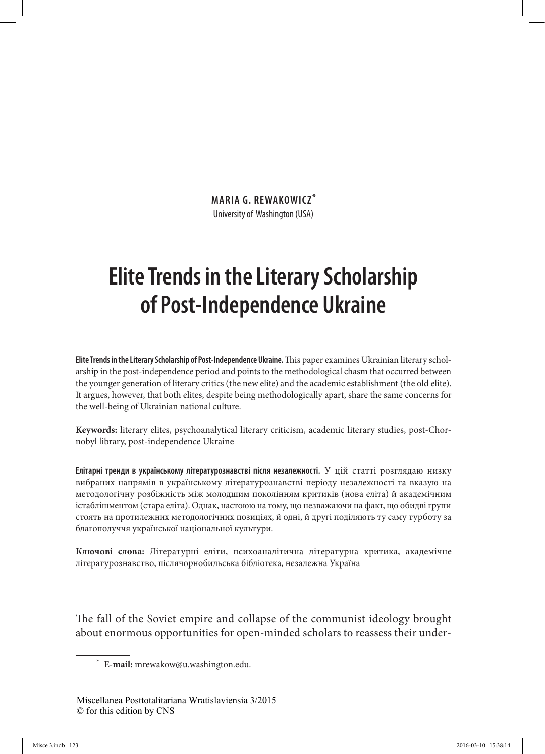**MARIA G. REWAKOWICZ\*** University of Washington (USA)

## **Elite Trends in the Literary Scholarship of Post-Independence Ukraine**

**Elite Trends in the Literary Scholarship of Post-Independence Ukraine.** This paper examines Ukrainian literary scholarship in the post-independence period and points to the methodological chasm that occurred between the younger generation of literary critics (the new elite) and the academic establishment (the old elite). It argues, however, that both elites, despite being methodologically apart, share the same concerns for the well-being of Ukrainian national culture.

**Keywords:** literary elites, psychoanalytical literary criticism, academic literary studies, post-Chornobyl library, post-independence Ukraine

**Елітарні тренди в українському літературознавстві після незалежності.** У цій статті розглядаю низку вибраних напрямів в українському літературознавстві періоду незалежності та вказую на методологічну розбіжність між молодшим поколінням критиків (нова еліта) й академічним істаблішментом (стара еліта). Однак, настоюю на тому, що незважаючи на факт, що обидві групи стоять на протилежних методологічних позиціях, й одні, й другі поділяють ту саму турботу за благополуччя української національної культури.

**Ключові слова:** Літературні еліти, психоаналітична літературна критика, академічне літературознавство, післячорнобильська бібліотека, незалежна Українa

The fall of the Soviet empire and collapse of the communist ideology brought about enormous opportunities for open-minded scholars to reassess their under-

<sup>\*</sup> **E-mail:** mrewakow@u.washington.edu.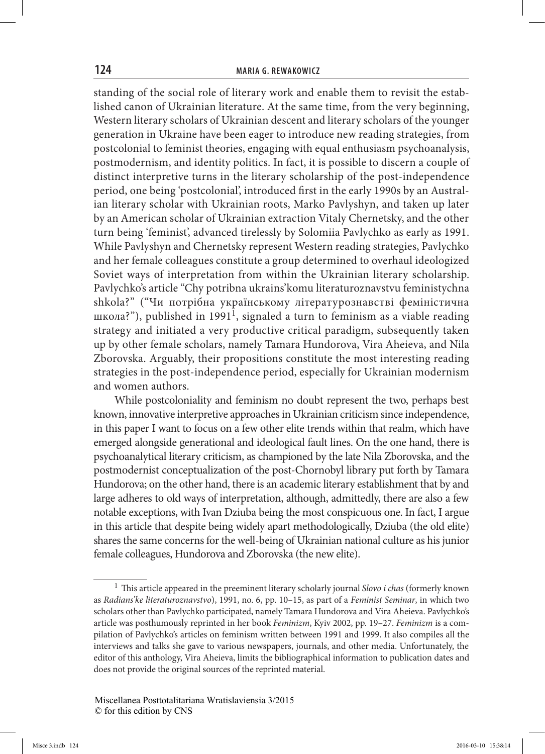standing of the social role of literary work and enable them to revisit the established canon of Ukrainian literature. At the same time, from the very beginning, Western literary scholars of Ukrainian descent and literary scholars of the younger generation in Ukraine have been eager to introduce new reading strategies, from postcolonial to feminist theories, engaging with equal enthusiasm psychoanalysis, postmodernism, and identity politics. In fact, it is possible to discern a couple of distinct interpretive turns in the literary scholarship of the post-independence period, one being 'postcolonial', introduced first in the early 1990s by an Australian literary scholar with Ukrainian roots, Marko Pavlyshyn, and taken up later by an American scholar of Ukrainian extraction Vitaly Chernetsky, and the other turn being 'feminist', advanced tirelessly by Solomiia Pavlychko as early as 1991. While Pavlyshyn and Chernetsky represent Western reading strategies, Pavlychko and her female colleagues constitute a group determined to overhaul ideologized Soviet ways of interpretation from within the Ukrainian literary scholarship. Pavlychko's article "Chy potribna ukrains'komu literaturoznavstvu feministychna shkola?" ("Чи потрібна українському літературознавстві феміністична школа?"), published in 1991<sup>1</sup>, signaled a turn to feminism as a viable reading strategy and initiated a very productive critical paradigm, subsequently taken up by other female scholars, namely Tamara Hundorova, Vira Aheieva, and Nila Zborovska. Arguably, their propositions constitute the most interesting reading strategies in the post-independence period, especially for Ukrainian modernism and women authors.

While postcoloniality and feminism no doubt represent the two, perhaps best known, innovative interpretive approaches in Ukrainian criticism since independence, in this paper I want to focus on a few other elite trends within that realm, which have emerged alongside generational and ideological fault lines. On the one hand, there is psychoanalytical literary criticism, as championed by the late Nila Zborovska, and the postmodernist conceptualization of the post-Chornobyl library put forth by Tamara Hundorova; on the other hand, there is an academic literary establishment that by and large adheres to old ways of interpretation, although, admittedly, there are also a few notable exceptions, with Ivan Dziuba being the most conspicuous one. In fact, I argue in this article that despite being widely apart methodologically, Dziuba (the old elite) shares the same concerns for the well-being of Ukrainian national culture as his junior female colleagues, Hundorova and Zborovska (the new elite).

<sup>1</sup> This article appeared in the preeminent literary scholarly journal *Slovo i chas* (formerly known as *Radians'ke literaturoznavstvo*), 1991, no. 6, pp. 10–15, as part of a *Feminist Seminar*, in which two scholars other than Pavlychko participated, namely Tamara Hundorova and Vira Aheieva. Pavlychko's article was posthumously reprinted in her book *Feminizm*, Kyiv 2002, pp. 19–27. *Feminizm* is a compilation of Pavlychko's articles on feminism written between 1991 and 1999. It also compiles all the interviews and talks she gave to various newspapers, journals, and other media. Unfortunately, the editor of this anthology, Vira Aheieva, limits the bibliographical information to publication dates and does not provide the original sources of the reprinted material.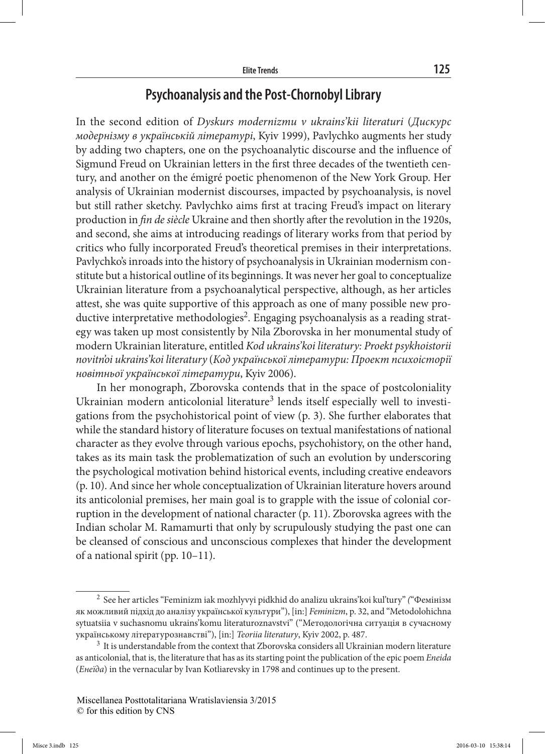## **Psychoanalysis and the Post-Chornobyl Library**

In the second edition of *Dyskurs modernizmu v ukrains'kii literaturi* (*Дискурс модернізму в українській літературі*, Kyiv 1999), Pavlychko augments her study by adding two chapters, one on the psychoanalytic discourse and the influence of Sigmund Freud on Ukrainian letters in the first three decades of the twentieth century, and another on the émigré poetic phenomenon of the New York Group. Her analysis of Ukrainian modernist discourses, impacted by psychoanalysis, is novel but still rather sketchy. Pavlychko aims first at tracing Freud's impact on literary production in *fin de siècle* Ukraine and then shortly after the revolution in the 1920s, and second, she aims at introducing readings of literary works from that period by critics who fully incorporated Freud's theoretical premises in their interpretations. Pavlychko's inroads into the history of psychoanalysis in Ukrainian modernism constitute but a historical outline of its beginnings. It was never her goal to conceptualize Ukrainian literature from a psychoanalytical perspective, although, as her articles attest, she was quite supportive of this approach as one of many possible new productive interpretative methodologies<sup>2</sup>. Engaging psychoanalysis as a reading strategy was taken up most consistently by Nila Zborovska in her monumental study of modern Ukrainian literature, entitled *Kod ukrains'koi literatury: Proekt psykhoistorii novitn'oi ukrains'koi literatury* (*Код української літератури: Проект психоісторії новітньої української літератури*, Kyiv 2006).

In her monograph, Zborovska contends that in the space of postcoloniality Ukrainian modern anticolonial literature<sup>3</sup> lends itself especially well to investigations from the psychohistorical point of view (p. 3). She further elaborates that while the standard history of literature focuses on textual manifestations of national character as they evolve through various epochs, psychohistory, on the other hand, takes as its main task the problematization of such an evolution by underscoring the psychological motivation behind historical events, including creative endeavors (p. 10). And since her whole conceptualization of Ukrainian literature hovers around its anticolonial premises, her main goal is to grapple with the issue of colonial corruption in the development of national character (p. 11). Zborovska agrees with the Indian scholar M. Ramamurti that only by scrupulously studying the past one can be cleansed of conscious and unconscious complexes that hinder the development of a national spirit (pp. 10–11).

<sup>2</sup> See her articles "Feminizm iak mozhlyvyi pidkhid do analizu ukrains'koi kul'tury" *(*"Фемінізм як можливий підхід до аналізу української культури"), [in:] *Feminizm*, p. 32, and "Metodolohichna sytuatsiia v suchasnomu ukrains'komu literaturoznavstvi" ("Методологічна ситуація в сучасному українському літературознавстві"), [in:] *Teoriia literatury*, Kyiv 2002, p. 487.

<sup>3</sup> It is understandable from the context that Zborovska considers all Ukrainian modern literature as anticolonial, that is, the literature that has as its starting point the publication of the epic poem *Eneida* (*Енеїда*) in the vernacular by Ivan Kotliarevsky in 1798 and continues up to the present.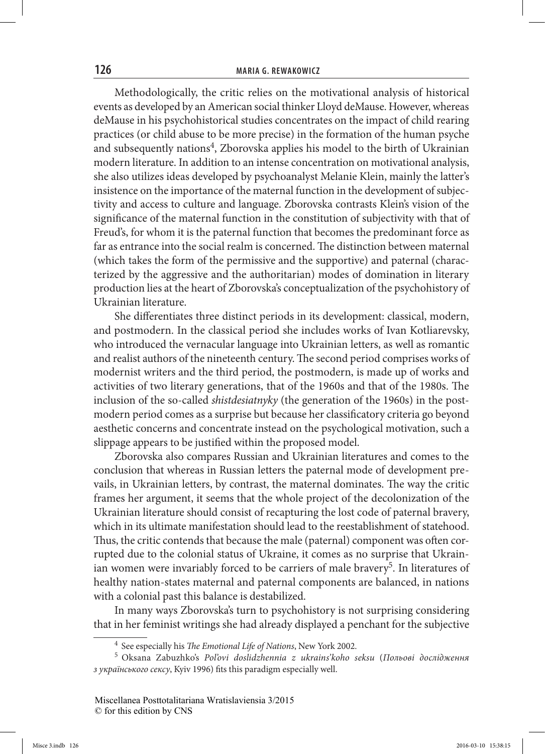Methodologically, the critic relies on the motivational analysis of historical events as developed by an American social thinker Lloyd deMause. However, whereas deMause in his psychohistorical studies concentrates on the impact of child rearing practices (or child abuse to be more precise) in the formation of the human psyche and subsequently nations<sup>4</sup>, Zborovska applies his model to the birth of Ukrainian modern literature. In addition to an intense concentration on motivational analysis, she also utilizes ideas developed by psychoanalyst Melanie Klein, mainly the latter's insistence on the importance of the maternal function in the development of subjectivity and access to culture and language. Zborovska contrasts Klein's vision of the significance of the maternal function in the constitution of subjectivity with that of Freud's, for whom it is the paternal function that becomes the predominant force as far as entrance into the social realm is concerned. The distinction between maternal (which takes the form of the permissive and the supportive) and paternal (characterized by the aggressive and the authoritarian) modes of domination in literary production lies at the heart of Zborovska's conceptualization of the psychohistory of Ukrainian literature.

She differentiates three distinct periods in its development: classical, modern, and postmodern. In the classical period she includes works of Ivan Kotliarevsky, who introduced the vernacular language into Ukrainian letters, as well as romantic and realist authors of the nineteenth century. The second period comprises works of modernist writers and the third period, the postmodern, is made up of works and activities of two literary generations, that of the 1960s and that of the 1980s. The inclusion of the so-called *shistdesiatnyky* (the generation of the 1960s) in the postmodern period comes as a surprise but because her classificatory criteria go beyond aesthetic concerns and concentrate instead on the psychological motivation, such a slippage appears to be justified within the proposed model.

Zborovska also compares Russian and Ukrainian literatures and comes to the conclusion that whereas in Russian letters the paternal mode of development prevails, in Ukrainian letters, by contrast, the maternal dominates. The way the critic frames her argument, it seems that the whole project of the decolonization of the Ukrainian literature should consist of recapturing the lost code of paternal bravery, which in its ultimate manifestation should lead to the reestablishment of statehood. Thus, the critic contends that because the male (paternal) component was often corrupted due to the colonial status of Ukraine, it comes as no surprise that Ukrainian women were invariably forced to be carriers of male bravery<sup>5</sup>. In literatures of healthy nation-states maternal and paternal components are balanced, in nations with a colonial past this balance is destabilized.

In many ways Zborovska's turn to psychohistory is not surprising considering that in her feminist writings she had already displayed a penchant for the subjective

<sup>4</sup> See especially his *The Emotional Life of Nations*, New York 2002.

<sup>5</sup> Oksana Zabuzhko's *Pol'ovi doslidzhennia z ukrains'koho seksu* (*Польові дослідження з українського сексу*, Kyiv 1996) fits this paradigm especially well.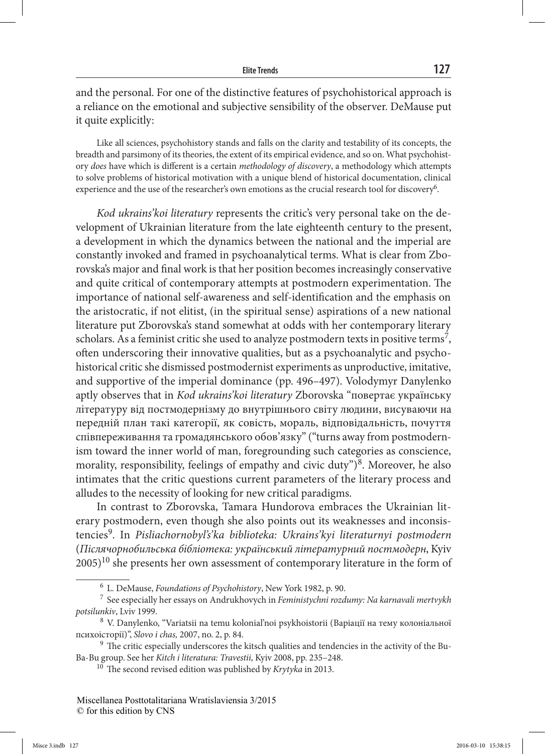and the personal. For one of the distinctive features of psychohistorical approach is a reliance on the emotional and subjective sensibility of the observer. DeMause put it quite explicitly:

Like all sciences, psychohistory stands and falls on the clarity and testability of its concepts, the breadth and parsimony of its theories, the extent of its empirical evidence, and so on. What psychohistory *does* have which is different is a certain *methodology of discovery*, a methodology which attempts to solve problems of historical motivation with a unique blend of historical documentation, clinical experience and the use of the researcher's own emotions as the crucial research tool for discovery<sup>6</sup>.

*Kod ukrains'koi literatury* represents the critic's very personal take on the development of Ukrainian literature from the late eighteenth century to the present, a development in which the dynamics between the national and the imperial are constantly invoked and framed in psychoanalytical terms. What is clear from Zborovska's major and final work is that her position becomes increasingly conservative and quite critical of contemporary attempts at postmodern experimentation. The importance of national self-awareness and self-identification and the emphasis on the aristocratic, if not elitist, (in the spiritual sense) aspirations of a new national literature put Zborovska's stand somewhat at odds with her contemporary literary scholars. As a feminist critic she used to analyze postmodern texts in positive terms<sup>7</sup>, often underscoring their innovative qualities, but as a psychoanalytic and psychohistorical critic she dismissed postmodernist experiments as unproductive, imitative, and supportive of the imperial dominance (pp. 496–497). Volodymyr Danylenko aptly observes that in *Kod ukrains'koi literatury* Zborovska "повертає українську літературу від постмодернізму до внутрішнього світу людини, висуваючи на передній план такі категорії, як совість, мораль, відповідальність, почуття співпереживання та громадянського обов'язку" ("turns away from postmodernism toward the inner world of man, foregrounding such categories as conscience, morality, responsibility, feelings of empathy and civic duty") $\delta$ . Moreover, he also intimates that the critic questions current parameters of the literary process and alludes to the necessity of looking for new critical paradigms.

In contrast to Zborovska, Tamara Hundorova embraces the Ukrainian literary postmodern, even though she also points out its weaknesses and inconsistencies9. In *Pisliachornobyl's'ka biblioteka: Ukrains'kyi literaturnyi postmodern* (*Післячорнобильська бібліотека: український літературний постмодерн*, Kyiv  $2005$ <sup>10</sup> she presents her own assessment of contemporary literature in the form of

<sup>6</sup> L. DeMause, *Foundations of Psychohistory*, New York 1982, p. 90.

<sup>7</sup> See especially her essays on Andrukhovych in *Feministychni rozdumy: Na karnavali mertvykh potsilunkiv*, Lviv 1999.

<sup>8</sup> V. Danylenko, "Variatsii na temu kolonial'noi psykhoistorii (Варіації на тему колоніaльної психоісторії)", *Slovo i chas,* 2007, no. 2, p. 84.

<sup>&</sup>lt;sup>9</sup> The critic especially underscores the kitsch qualities and tendencies in the activity of the Bu-Ba-Bu group. See her *Kitch i literatura: Travestii*, Kyiv 2008, pp. 235–248. 10 The second revised edition was published by *Krytyka* in 2013.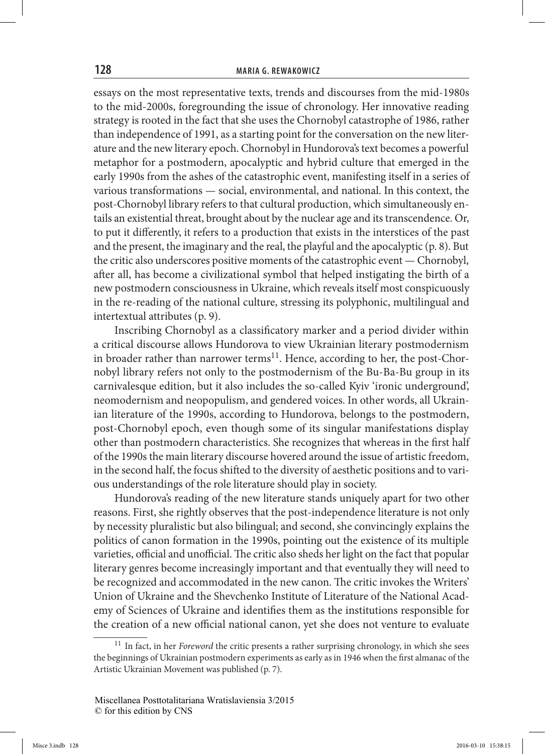essays on the most representative texts, trends and discourses from the mid-1980s to the mid-2000s, foregrounding the issue of chronology. Her innovative reading strategy is rooted in the fact that she uses the Chornobyl catastrophe of 1986, rather than independence of 1991, as a starting point for the conversation on the new literature and the new literary epoch. Chornobyl in Hundorova's text becomes a powerful metaphor for a postmodern, apocalyptic and hybrid culture that emerged in the early 1990s from the ashes of the catastrophic event, manifesting itself in a series of various transformations — social, environmental, and national. In this context, the post-Chornobyl library refers to that cultural production, which simultaneously entails an existential threat, brought about by the nuclear age and its transcendence. Or, to put it differently, it refers to a production that exists in the interstices of the past and the present, the imaginary and the real, the playful and the apocalyptic (p. 8). But the critic also underscores positive moments of the catastrophic event — Chornobyl, after all, has become a civilizational symbol that helped instigating the birth of a new postmodern consciousness in Ukraine, which reveals itself most conspicuously in the re-reading of the national culture, stressing its polyphonic, multilingual and intertextual attributes (p. 9).

Inscribing Chornobyl as a classificatory marker and a period divider within a critical discourse allows Hundorova to view Ukrainian literary postmodernism in broader rather than narrower terms<sup>11</sup>. Hence, according to her, the post-Chornobyl library refers not only to the postmodernism of the Bu-Ba-Bu group in its carnivalesque edition, but it also includes the so-called Kyiv 'ironic underground', neomodernism and neopopulism, and gendered voices. In other words, all Ukrainian literature of the 1990s, according to Hundorova, belongs to the postmodern, post-Chornobyl epoch, even though some of its singular manifestations display other than postmodern characteristics. She recognizes that whereas in the first half of the 1990s the main literary discourse hovered around the issue of artistic freedom, in the second half, the focus shifted to the diversity of aesthetic positions and to various understandings of the role literature should play in society.

Hundorova's reading of the new literature stands uniquely apart for two other reasons. First, she rightly observes that the post-independence literature is not only by necessity pluralistic but also bilingual; and second, she convincingly explains the politics of canon formation in the 1990s, pointing out the existence of its multiple varieties, official and unofficial. The critic also sheds her light on the fact that popular literary genres become increasingly important and that eventually they will need to be recognized and accommodated in the new canon. The critic invokes the Writers' Union of Ukraine and the Shevchenko Institute of Literature of the National Academy of Sciences of Ukraine and identifies them as the institutions responsible for the creation of a new official national canon, yet she does not venture to evaluate

<sup>11</sup> In fact, in her *Foreword* the critic presents a rather surprising chronology, in which she sees the beginnings of Ukrainian postmodern experiments as early as in 1946 when the first almanac of the Artistic Ukrainian Movement was published (p. 7).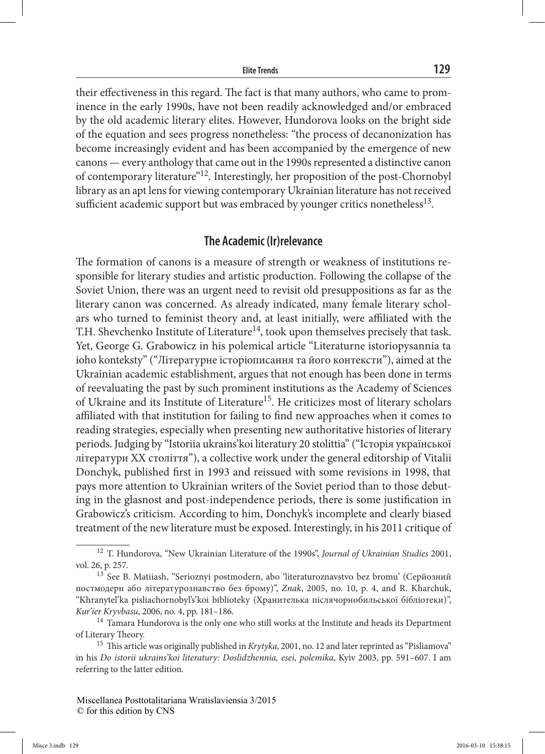their effectiveness in this regard. The fact is that many authors, who came to prominence in the early 1990s, have not been readily acknowledged and/or embraced by the old academic literary elites. However, Hundorova looks on the bright side of the equation and sees progress nonetheless: "the process of decanonization has become increasingly evident and has been accompanied by the emergence of new canons — every anthology that came out in the 1990s represented a distinctive canon of contemporary literature"12. Interestingly, her proposition of the post-Chornobyl library as an apt lens for viewing contemporary Ukrainian literature has not received sufficient academic support but was embraced by younger critics nonetheless<sup>13</sup>.

## **The Academic (Ir)relevance**

The formation of canons is a measure of strength or weakness of institutions responsible for literary studies and artistic production. Following the collapse of the Soviet Union, there was an urgent need to revisit old presuppositions as far as the literary canon was concerned. As already indicated, many female literary scholars who turned to feminist theory and, at least initially, were affiliated with the T.H. Shevchenko Institute of Literature<sup>14</sup>, took upon themselves precisely that task. Yet, George G. Grabowicz in his polemical article "Literaturne istoriopysannia ta ioho konteksty" ("Літературне історіописання та його контексти"), aimed at the Ukrainian academic establishment, argues that not enough has been done in terms of reevaluating the past by such prominent institutions as the Academy of Sciences of Ukraine and its Institute of Literature<sup>15</sup>. He criticizes most of literary scholars affiliated with that institution for failing to find new approaches when it comes to reading strategies, especially when presenting new authoritative histories of literary periods. Judging by "Istoriia ukrains'koi literatury 20 stolittia" ("Історія української літератури ХХ століття"), a collective work under the general editorship of Vitalii Donchyk, published first in 1993 and reissued with some revisions in 1998, that pays more attention to Ukrainian writers of the Soviet period than to those debuting in the glasnost and post-independence periods, there is some justification in Grabowicz's criticism. According to him, Donchyk's incomplete and clearly biased treatment of the new literature must be exposed. Interestingly, in his 2011 critique of

<sup>12</sup> T. Hundorova, "New Ukrainian Literature of the 1990s", *Journal of Ukrainian Studies* 2001, vol. 26, p. 257.

<sup>&</sup>lt;sup>13</sup> See B. Matiiash, "Serioznyi postmodern, abo 'literaturoznavstvo bez bromu' (Серйозний постмодерн або літературознавство без брому)", *Znak*, 2005, no. 10, p. 4, and R. Kharchuk, "Khranytel'ka pisliachornobyl's'koi biblioteky (Хранителька післячорнобильської бібліотеки)", *Kur'ier Kryvbasu*, 2006, no. 4, pp. 181–186.

 $14$  Tamara Hundorova is the only one who still works at the Institute and heads its Department of Literary Theory.

<sup>15</sup> This article was originally published in *Krytyka*, 2001, no. 12 and later reprinted as "Pisliamova" in his *Do istorii ukrains'koi literatury: Doslidzhennia, esei, polemika*, Kyiv 2003, pp. 591–607. I am referring to the latter edition.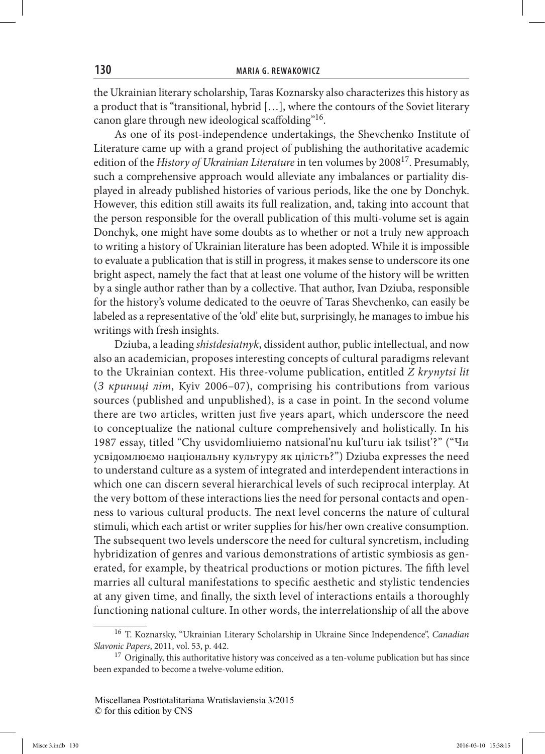the Ukrainian literary scholarship, Taras Koznarsky also characterizes this history as a product that is "transitional, hybrid […], where the contours of the Soviet literary canon glare through new ideological scaffolding"16.

As one of its post-independence undertakings, the Shevchenko Institute of Literature came up with a grand project of publishing the authoritative academic edition of the *History of Ukrainian Literature* in ten volumes by 2008<sup>17</sup>. Presumably, such a comprehensive approach would alleviate any imbalances or partiality displayed in already published histories of various periods, like the one by Donchyk. However, this edition still awaits its full realization, and, taking into account that the person responsible for the overall publication of this multi-volume set is again Donchyk, one might have some doubts as to whether or not a truly new approach to writing a history of Ukrainian literature has been adopted. While it is impossible to evaluate a publication that is still in progress, it makes sense to underscore its one bright aspect, namely the fact that at least one volume of the history will be written by a single author rather than by a collective. That author, Ivan Dziuba, responsible for the history's volume dedicated to the oeuvre of Taras Shevchenko, can easily be labeled as a representative of the 'old' elite but, surprisingly, he manages to imbue his writings with fresh insights.

Dziuba, a leading *shistdesiatnyk*, dissident author, public intellectual, and now also an academician, proposes interesting concepts of cultural paradigms relevant to the Ukrainian context. His three-volume publication, entitled *Z krynytsi lit* (*З криниці літ*, Kyiv 2006–07), comprising his contributions from various sources (published and unpublished), is a case in point. In the second volume there are two articles, written just five years apart, which underscore the need to conceptualize the national culture comprehensively and holistically. In his 1987 essay, titled "Chy usvidomliuiemo natsional'nu kul'turu iak tsilist'?" ("Чи усвідомлюємо національну культуру як цілість?") Dziuba expresses the need to understand culture as a system of integrated and interdependent interactions in which one can discern several hierarchical levels of such reciprocal interplay. At the very bottom of these interactions lies the need for personal contacts and openness to various cultural products. The next level concerns the nature of cultural stimuli, which each artist or writer supplies for his/her own creative consumption. The subsequent two levels underscore the need for cultural syncretism, including hybridization of genres and various demonstrations of artistic symbiosis as generated, for example, by theatrical productions or motion pictures. The fifth level marries all cultural manifestations to specific aesthetic and stylistic tendencies at any given time, and finally, the sixth level of interactions entails a thoroughly functioning national culture. In other words, the interrelationship of all the above

<sup>16</sup> T. Koznarsky, "Ukrainian Literary Scholarship in Ukraine Since Independence", *Canadian Slavonic Papers*, 2011, vol. 53, p. 442.

 $17$  Originally, this authoritative history was conceived as a ten-volume publication but has since been expanded to become a twelve-volume edition.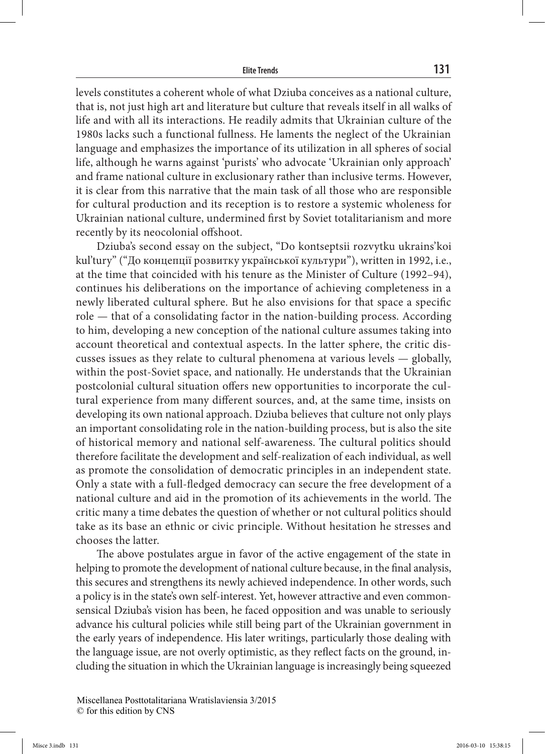levels constitutes a coherent whole of what Dziuba conceives as a national culture, that is, not just high art and literature but culture that reveals itself in all walks of life and with all its interactions. He readily admits that Ukrainian culture of the 1980s lacks such a functional fullness. He laments the neglect of the Ukrainian language and emphasizes the importance of its utilization in all spheres of social life, although he warns against 'purists' who advocate 'Ukrainian only approach' and frame national culture in exclusionary rather than inclusive terms. However, it is clear from this narrative that the main task of all those who are responsible for cultural production and its reception is to restore a systemic wholeness for Ukrainian national culture, undermined first by Soviet totalitarianism and more recently by its neocolonial offshoot.

Dziuba's second essay on the subject, "Do kontseptsii rozvytku ukrains'koi kul'tury" ("До концепції розвитку української культури"), written in 1992, i.e., at the time that coincided with his tenure as the Minister of Culture (1992–94), continues his deliberations on the importance of achieving completeness in a newly liberated cultural sphere. But he also envisions for that space a specific role — that of a consolidating factor in the nation-building process. According to him, developing a new conception of the national culture assumes taking into account theoretical and contextual aspects. In the latter sphere, the critic discusses issues as they relate to cultural phenomena at various levels — globally, within the post-Soviet space, and nationally. He understands that the Ukrainian postcolonial cultural situation offers new opportunities to incorporate the cultural experience from many different sources, and, at the same time, insists on developing its own national approach. Dziuba believes that culture not only plays an important consolidating role in the nation-building process, but is also the site of historical memory and national self-awareness. The cultural politics should therefore facilitate the development and self-realization of each individual, as well as promote the consolidation of democratic principles in an independent state. Only a state with a full-fledged democracy can secure the free development of a national culture and aid in the promotion of its achievements in the world. The critic many a time debates the question of whether or not cultural politics should take as its base an ethnic or civic principle. Without hesitation he stresses and chooses the latter.

The above postulates argue in favor of the active engagement of the state in helping to promote the development of national culture because, in the final analysis, this secures and strengthens its newly achieved independence. In other words, such a policy is in the state's own self-interest. Yet, however attractive and even commonsensical Dziuba's vision has been, he faced opposition and was unable to seriously advance his cultural policies while still being part of the Ukrainian government in the early years of independence. His later writings, particularly those dealing with the language issue, are not overly optimistic, as they reflect facts on the ground, including the situation in which the Ukrainian language is increasingly being squeezed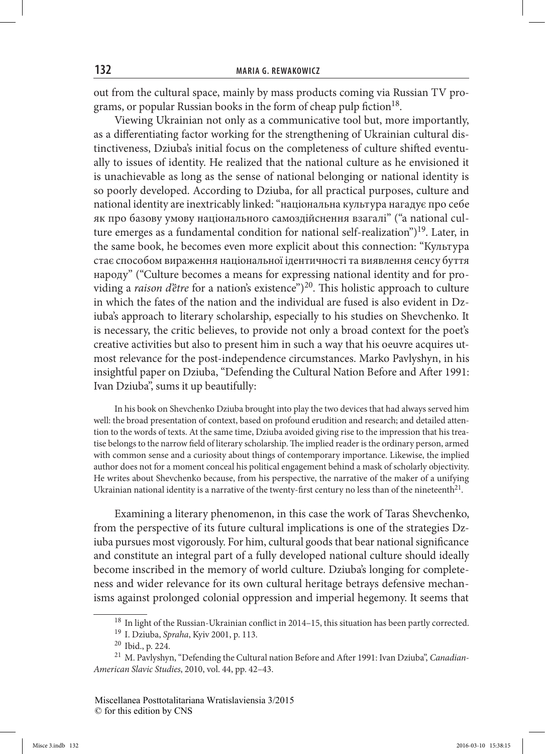out from the cultural space, mainly by mass products coming via Russian TV programs, or popular Russian books in the form of cheap pulp fiction<sup>18</sup>.

Viewing Ukrainian not only as a communicative tool but, more importantly, as a differentiating factor working for the strengthening of Ukrainian cultural distinctiveness, Dziuba's initial focus on the completeness of culture shifted eventually to issues of identity. He realized that the national culture as he envisioned it is unachievable as long as the sense of national belonging or national identity is so poorly developed. According to Dziuba, for all practical purposes, culture and national identity are inextricably linked: "національна культура нагадує про себе як про базову умову національного самоздійснення взагалі" ("a national culture emerges as a fundamental condition for national self-realization")<sup>19</sup>. Later, in the same book, he becomes even more explicit about this connection: "Культура стає способом вираження національної ідентичності та виявлення сенсу буття народу" ("Culture becomes a means for expressing national identity and for providing a *raison d'être* for a nation's existence")<sup>20</sup>. This holistic approach to culture in which the fates of the nation and the individual are fused is also evident in Dziuba's approach to literary scholarship, especially to his studies on Shevchenko. It is necessary, the critic believes, to provide not only a broad context for the poet's creative activities but also to present him in such a way that his oeuvre acquires utmost relevance for the post-independence circumstances. Marko Pavlyshyn, in his insightful paper on Dziuba, "Defending the Cultural Nation Before and After 1991: Ivan Dziuba", sums it up beautifully:

In his book on Shevchenko Dziuba brought into play the two devices that had always served him well: the broad presentation of context, based on profound erudition and research; and detailed attention to the words of texts. At the same time, Dziuba avoided giving rise to the impression that his treatise belongs to the narrow field of literary scholarship. The implied reader is the ordinary person, armed with common sense and a curiosity about things of contemporary importance. Likewise, the implied author does not for a moment conceal his political engagement behind a mask of scholarly objectivity. He writes about Shevchenko because, from his perspective, the narrative of the maker of a unifying Ukrainian national identity is a narrative of the twenty-first century no less than of the nineteenth $21$ .

Examining a literary phenomenon, in this case the work of Taras Shevchenko, from the perspective of its future cultural implications is one of the strategies Dziuba pursues most vigorously. For him, cultural goods that bear national significance and constitute an integral part of a fully developed national culture should ideally become inscribed in the memory of world culture. Dziuba's longing for completeness and wider relevance for its own cultural heritage betrays defensive mechanisms against prolonged colonial oppression and imperial hegemony. It seems that

<sup>18</sup> In light of the Russian-Ukrainian conflict in 2014–15, this situation has been partly corrected. 19 I. Dziuba, *Spraha*, Kyiv 2001, p. 113.

<sup>20</sup> Ibid., p. 224.

<sup>&</sup>lt;sup>21</sup> M. Pavlyshyn, "Defending the Cultural nation Before and After 1991: Ivan Dziuba", *Canadian*-*American Slavic Studies*, 2010, vol. 44, pp. 42–43.